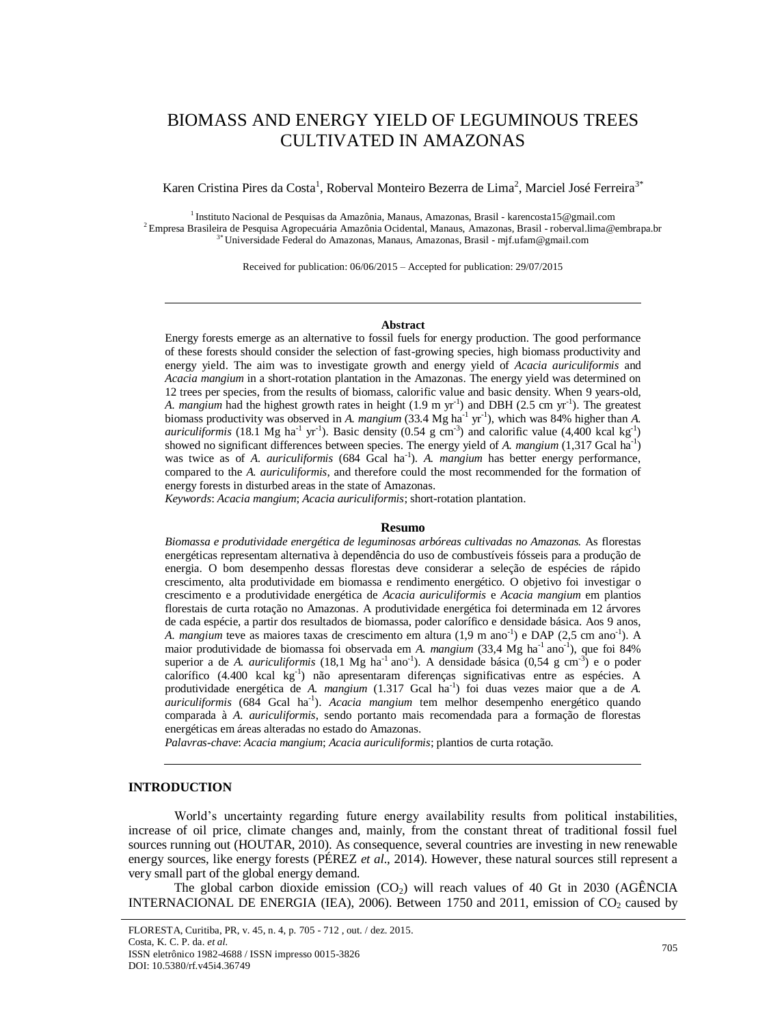# BIOMASS AND ENERGY YIELD OF LEGUMINOUS TREES CULTIVATED IN AMAZONAS

Karen Cristina Pires da Costa<sup>1</sup>, Roberval Monteiro Bezerra de Lima<sup>2</sup>, Marciel José Ferreira<sup>3\*</sup>

<sup>1</sup> Instituto Nacional de Pesquisas da Amazônia, Manaus, Amazonas, Brasil - karencosta15@gmail.com <sup>2</sup> Empresa Brasileira de Pesquisa Agropecuária Amazônia Ocidental, Manaus, Amazonas, Brasil - roberval.lima@embrapa.br 3\*Universidade Federal do Amazonas, Manaus, Amazonas, Brasil - mjf.ufam@gmail.com

Received for publication: 06/06/2015 – Accepted for publication: 29/07/2015

#### **Abstract**

Energy forests emerge as an alternative to fossil fuels for energy production. The good performance of these forests should consider the selection of fast-growing species, high biomass productivity and energy yield. The aim was to investigate growth and energy yield of *Acacia auriculiformis* and *Acacia mangium* in a short-rotation plantation in the Amazonas. The energy yield was determined on 12 trees per species, from the results of biomass, calorific value and basic density. When 9 years-old, A. *mangium* had the highest growth rates in height (1.9 m yr<sup>-1</sup>) and DBH (2.5 cm yr<sup>-1</sup>). The greatest biomass productivity was observed in *A. mangium* (33.4 Mg ha<sup>-1</sup> yr<sup>-1</sup>), which was 84% higher than *A. auriculiformis* (18.1 Mg ha<sup>-1</sup> yr<sup>-1</sup>). Basic density (0.54 g cm<sup>-3</sup>) and calorific value (4,400 kcal kg<sup>-1</sup>) showed no significant differences between species. The energy yield of *A. mangium* (1,317 Gcal ha<sup>-1</sup>) was twice as of *A. auriculiformis* (684 Gcal ha<sup>-1</sup>). *A. mangium* has better energy performance, compared to the *A. auriculiformis*, and therefore could the most recommended for the formation of energy forests in disturbed areas in the state of Amazonas.

*Keywords*: *Acacia mangium*; *Acacia auriculiformis*; short-rotation plantation.

#### **Resumo**

*Biomassa e produtividade energética de leguminosas arbóreas cultivadas no Amazonas.* As florestas energéticas representam alternativa à dependência do uso de combustíveis fósseis para a produção de energia. O bom desempenho dessas florestas deve considerar a seleção de espécies de rápido crescimento, alta produtividade em biomassa e rendimento energético. O objetivo foi investigar o crescimento e a produtividade energética de *Acacia auriculiformis* e *Acacia mangium* em plantios florestais de curta rotação no Amazonas. A produtividade energética foi determinada em 12 árvores de cada espécie, a partir dos resultados de biomassa, poder calorífico e densidade básica. Aos 9 anos, A. *mangium* teve as maiores taxas de crescimento em altura (1,9 m ano<sup>-1</sup>) e DAP (2,5 cm ano<sup>-1</sup>). A maior produtividade de biomassa foi observada em *A. mangium* (33,4 Mg ha<sup>-1</sup> ano<sup>-1</sup>), que foi 84% superior a de *A. auriculiformis* (18,1 Mg ha<sup>-1</sup> ano<sup>-1</sup>). A densidade básica (0,54 g cm<sup>-3</sup>) e o poder calorífico (4.400 kcal kg<sup>-1</sup>) não apresentaram diferenças significativas entre as espécies. A produtividade energética de A. mangium (1.317 Gcal ha<sup>-1</sup>) foi duas vezes maior que a de A. *auriculiformis* (684 Gcal ha-1 ). *Acacia mangium* tem melhor desempenho energético quando comparada à *A. auriculiformis*, sendo portanto mais recomendada para a formação de florestas energéticas em áreas alteradas no estado do Amazonas.

*Palavras-chave*: *Acacia mangium*; *Acacia auriculiformis*; plantios de curta rotação.

## **INTRODUCTION**

World's uncertainty regarding future energy availability results from political instabilities, increase of oil price, climate changes and, mainly, from the constant threat of traditional fossil fuel sources running out (HOUTAR, 2010). As consequence, several countries are investing in new renewable energy sources, like energy forests (PÉREZ *et al*., 2014). However, these natural sources still represent a very small part of the global energy demand.

The global carbon dioxide emission  $(CO<sub>2</sub>)$  will reach values of 40 Gt in 2030 (AGÊNCIA INTERNACIONAL DE ENERGIA (IEA), 2006). Between 1750 and 2011, emission of  $CO<sub>2</sub>$  caused by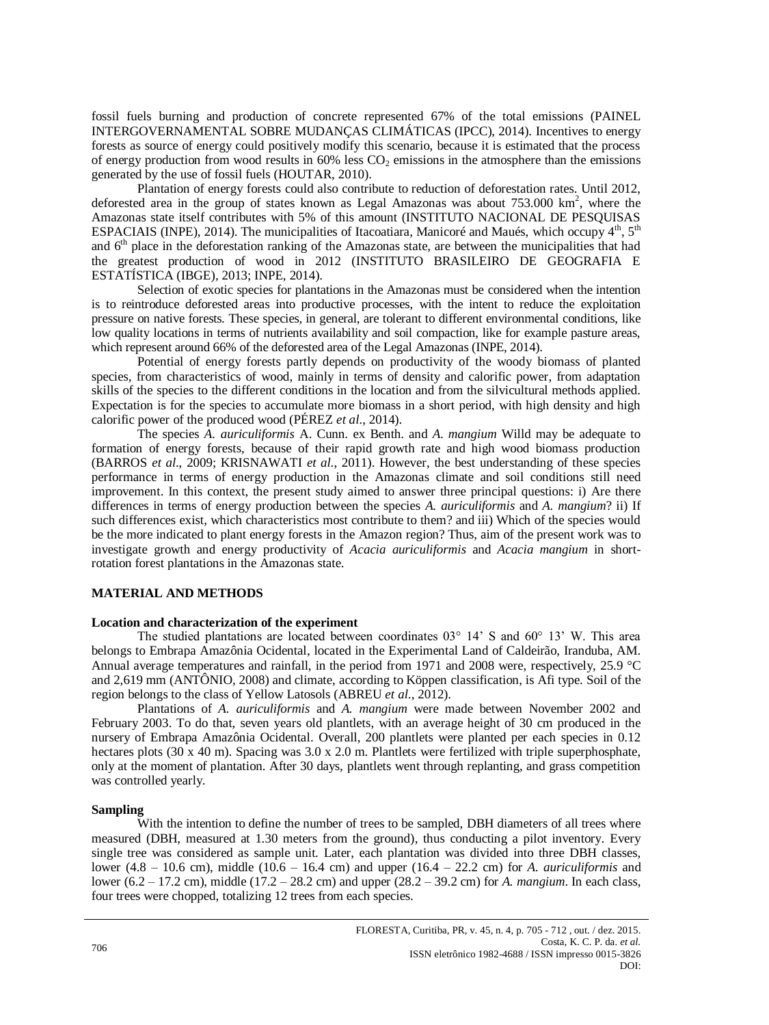fossil fuels burning and production of concrete represented 67% of the total emissions (PAINEL INTERGOVERNAMENTAL SOBRE MUDANÇAS CLIMÁTICAS (IPCC), 2014). Incentives to energy forests as source of energy could positively modify this scenario, because it is estimated that the process of energy production from wood results in  $60\%$  less  $CO<sub>2</sub>$  emissions in the atmosphere than the emissions generated by the use of fossil fuels (HOUTAR, 2010).

Plantation of energy forests could also contribute to reduction of deforestation rates. Until 2012, deforested area in the group of states known as Legal Amazonas was about  $753.000 \text{ km}^2$ , where the Amazonas state itself contributes with 5% of this amount (INSTITUTO NACIONAL DE PESQUISAS ESPACIAIS (INPE), 2014). The municipalities of Itacoatiara, Manicoré and Maués, which occupy 4<sup>th</sup>, 5<sup>th</sup> and 6<sup>th</sup> place in the deforestation ranking of the Amazonas state, are between the municipalities that had the greatest production of wood in 2012 (INSTITUTO BRASILEIRO DE GEOGRAFIA E ESTATÍSTICA (IBGE), 2013; INPE, 2014).

Selection of exotic species for plantations in the Amazonas must be considered when the intention is to reintroduce deforested areas into productive processes, with the intent to reduce the exploitation pressure on native forests. These species, in general, are tolerant to different environmental conditions, like low quality locations in terms of nutrients availability and soil compaction, like for example pasture areas, which represent around 66% of the deforested area of the Legal Amazonas (INPE, 2014).

Potential of energy forests partly depends on productivity of the woody biomass of planted species, from characteristics of wood, mainly in terms of density and calorific power, from adaptation skills of the species to the different conditions in the location and from the silvicultural methods applied. Expectation is for the species to accumulate more biomass in a short period, with high density and high calorific power of the produced wood (PÉREZ *et al*., 2014).

The species *A. auriculiformis* A. Cunn. ex Benth. and *A. mangium* Willd may be adequate to formation of energy forests, because of their rapid growth rate and high wood biomass production (BARROS *et al*., 2009; KRISNAWATI *et al*., 2011). However, the best understanding of these species performance in terms of energy production in the Amazonas climate and soil conditions still need improvement. In this context, the present study aimed to answer three principal questions: i) Are there differences in terms of energy production between the species *A. auriculiformis* and *A. mangium*? ii) If such differences exist, which characteristics most contribute to them? and iii) Which of the species would be the more indicated to plant energy forests in the Amazon region? Thus, aim of the present work was to investigate growth and energy productivity of *Acacia auriculiformis* and *Acacia mangium* in shortrotation forest plantations in the Amazonas state.

# **MATERIAL AND METHODS**

#### **Location and characterization of the experiment**

The studied plantations are located between coordinates  $03^{\circ}$  14' S and  $60^{\circ}$  13' W. This area belongs to Embrapa Amazônia Ocidental, located in the Experimental Land of Caldeirão, Iranduba, AM. Annual average temperatures and rainfall, in the period from 1971 and 2008 were, respectively, 25.9 °C and 2,619 mm (ANTÔNIO, 2008) and climate, according to Köppen classification, is Afi type. Soil of the region belongs to the class of Yellow Latosols (ABREU *et al*., 2012).

Plantations of *A. auriculiformis* and *A. mangium* were made between November 2002 and February 2003. To do that, seven years old plantlets, with an average height of 30 cm produced in the nursery of Embrapa Amazônia Ocidental. Overall, 200 plantlets were planted per each species in 0.12 hectares plots  $(30 \times 40 \text{ m})$ . Spacing was  $3.0 \times 2.0 \text{ m}$ . Plantlets were fertilized with triple superphosphate, only at the moment of plantation. After 30 days, plantlets went through replanting, and grass competition was controlled yearly.

#### **Sampling**

With the intention to define the number of trees to be sampled, DBH diameters of all trees where measured (DBH, measured at 1.30 meters from the ground), thus conducting a pilot inventory. Every single tree was considered as sample unit. Later, each plantation was divided into three DBH classes, lower (4.8 – 10.6 cm), middle (10.6 – 16.4 cm) and upper (16.4 – 22.2 cm) for *A. auriculiformis* and lower (6.2 – 17.2 cm), middle (17.2 – 28.2 cm) and upper (28.2 – 39.2 cm) for *A. mangium*. In each class, four trees were chopped, totalizing 12 trees from each species.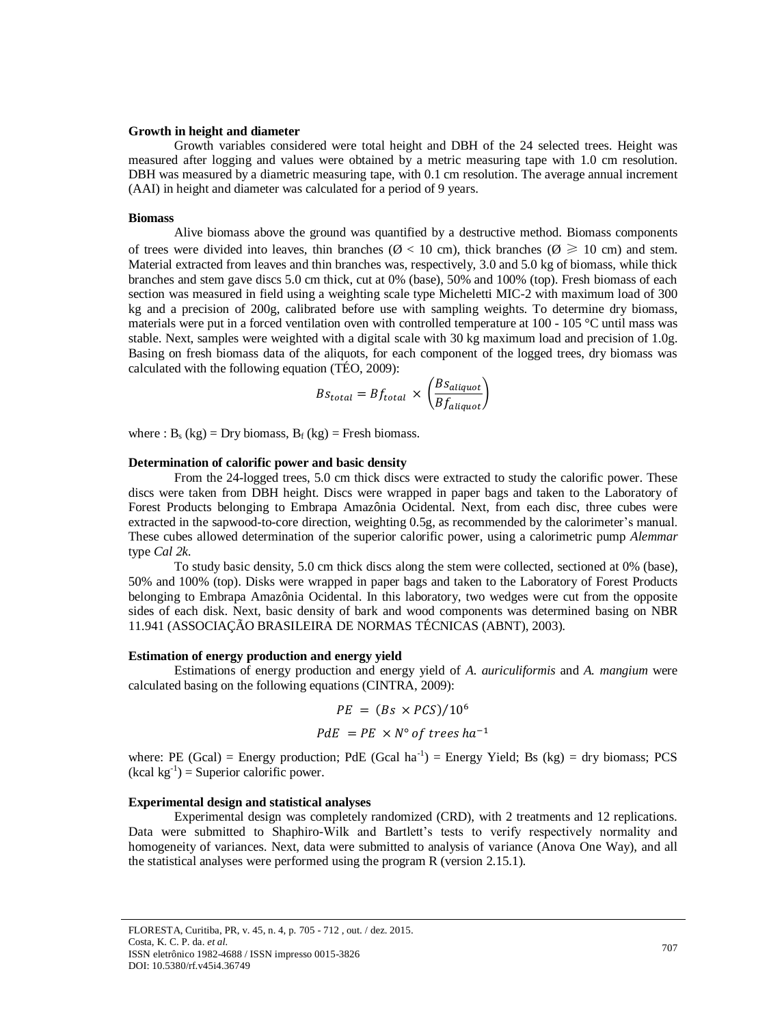#### **Growth in height and diameter**

Growth variables considered were total height and DBH of the 24 selected trees. Height was measured after logging and values were obtained by a metric measuring tape with 1.0 cm resolution. DBH was measured by a diametric measuring tape, with 0.1 cm resolution. The average annual increment (AAI) in height and diameter was calculated for a period of 9 years.

#### **Biomass**

Alive biomass above the ground was quantified by a destructive method. Biomass components of trees were divided into leaves, thin branches ( $\varnothing$  < 10 cm), thick branches ( $\varnothing \ge 10$  cm) and stem. Material extracted from leaves and thin branches was, respectively, 3.0 and 5.0 kg of biomass, while thick branches and stem gave discs 5.0 cm thick, cut at 0% (base), 50% and 100% (top). Fresh biomass of each section was measured in field using a weighting scale type Micheletti MIC-2 with maximum load of 300 kg and a precision of 200g, calibrated before use with sampling weights. To determine dry biomass, materials were put in a forced ventilation oven with controlled temperature at 100 - 105 °C until mass was stable. Next, samples were weighted with a digital scale with 30 kg maximum load and precision of 1.0g. Basing on fresh biomass data of the aliquots, for each component of the logged trees, dry biomass was calculated with the following equation (TÉO, 2009):

$$
Bs_{total} = Bf_{total} \times \left(\frac{Bs_{aliquot}}{Bf_{aliquot}}\right)
$$

where :  $B_s$  (kg) = Dry biomass,  $B_f$  (kg) = Fresh biomass.

#### **Determination of calorific power and basic density**

From the 24-logged trees, 5.0 cm thick discs were extracted to study the calorific power. These discs were taken from DBH height. Discs were wrapped in paper bags and taken to the Laboratory of Forest Products belonging to Embrapa Amazônia Ocidental. Next, from each disc, three cubes were extracted in the sapwood-to-core direction, weighting 0.5g, as recommended by the calorimeter's manual. These cubes allowed determination of the superior calorific power, using a calorimetric pump *Alemmar* type *Cal 2k*.

To study basic density, 5.0 cm thick discs along the stem were collected, sectioned at 0% (base), 50% and 100% (top). Disks were wrapped in paper bags and taken to the Laboratory of Forest Products belonging to Embrapa Amazônia Ocidental. In this laboratory, two wedges were cut from the opposite sides of each disk. Next, basic density of bark and wood components was determined basing on NBR 11.941 (ASSOCIAÇÃO BRASILEIRA DE NORMAS TÉCNICAS (ABNT), 2003).

#### **Estimation of energy production and energy yield**

Estimations of energy production and energy yield of *A. auriculiformis* and *A. mangium* were calculated basing on the following equations (CINTRA, 2009):

$$
PE = (Bs \times PCs)/10^6
$$
  

$$
PdE = PE \times N^\circ \text{ of trees } ha^{-1}
$$

where: PE (Gcal) = Energy production; PdE (Gcal ha<sup>-1</sup>) = Energy Yield; Bs (kg) = dry biomass; PCS  $(kcal kg^{-1})$  = Superior calorific power.

#### **Experimental design and statistical analyses**

Experimental design was completely randomized (CRD), with 2 treatments and 12 replications. Data were submitted to Shaphiro-Wilk and Bartlett's tests to verify respectively normality and homogeneity of variances. Next, data were submitted to analysis of variance (Anova One Way), and all the statistical analyses were performed using the program R (version 2.15.1).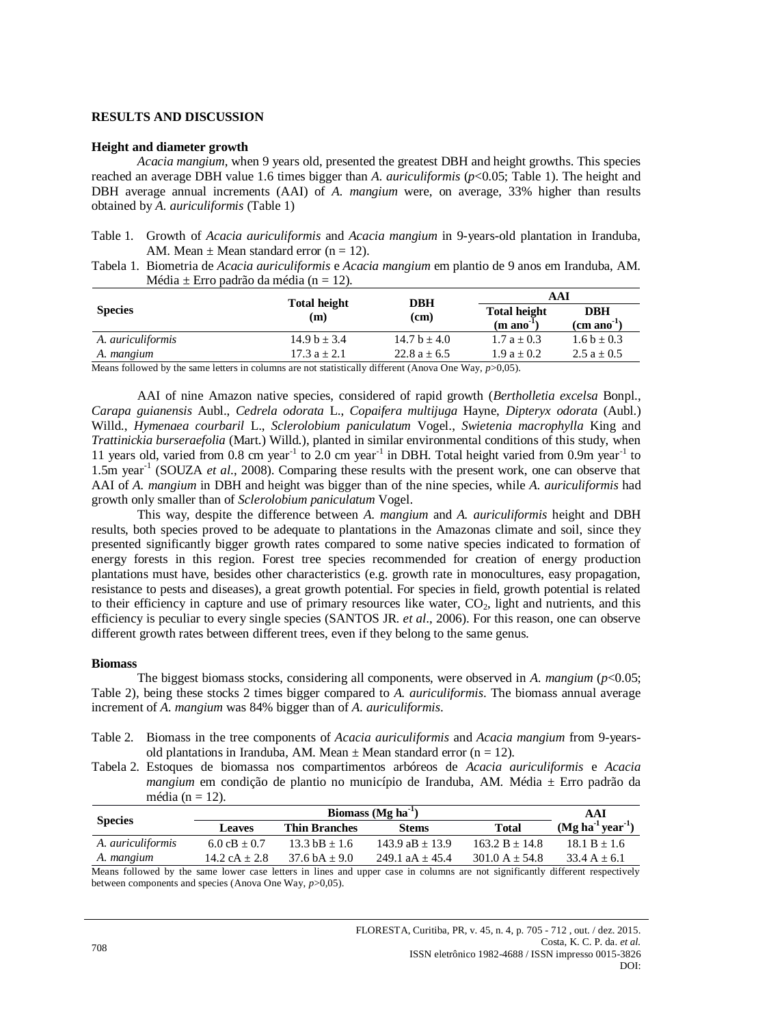## **RESULTS AND DISCUSSION**

#### **Height and diameter growth**

*Acacia mangium*, when 9 years old, presented the greatest DBH and height growths. This species reached an average DBH value 1.6 times bigger than *A. auriculiformis* (*p*<0.05; Table 1). The height and DBH average annual increments (AAI) of *A. mangium* were, on average, 33% higher than results obtained by *A. auriculiformis* (Table 1)

Table 1. Growth of *Acacia auriculiformis* and *Acacia mangium* in 9-years-old plantation in Iranduba, AM. Mean  $\pm$  Mean standard error (n = 12).

Tabela 1. Biometria de *Acacia auriculiformis* e *Acacia mangium* em plantio de 9 anos em Iranduba, AM. Média  $\pm$  Erro padrão da média (n = 12).

|                          | <b>Total height</b><br>(m) | <b>DBH</b>                                  | AAI                                           |                                       |
|--------------------------|----------------------------|---------------------------------------------|-----------------------------------------------|---------------------------------------|
| <b>Species</b>           |                            | (c <sub>m</sub> )                           | <b>Total height</b><br>$(m \text{ ano}^{-1})$ | <b>DBH</b><br>$(cm \text{ ano}^{-1})$ |
| A. <i>auriculiformis</i> | $14.9 b \pm 3.4$           | $14.7 b + 4.0$                              | $1.7a + 0.3$                                  | $1.6 b \pm 0.3$                       |
| A. mangium               | 17.3 a $\pm$ 2.1           | 22.8 a $\pm$ 6.5                            | $1.9a + 0.2$                                  | 2.5 a $\pm$ 0.5                       |
| $\cdots$<br>11.1<br>.    |                            | $\sim$ $\mathbf{v}$<br>$\sim$ $\sim$ $\sim$ | $\bigcap_{n=1}^{\infty}$                      |                                       |

Means followed by the same letters in columns are not statistically different (Anova One Way, *p*>0,05).

AAI of nine Amazon native species, considered of rapid growth (*Bertholletia excelsa* Bonpl., *Carapa guianensis* Aubl., *Cedrela odorata* L., *Copaifera multijuga* Hayne, *Dipteryx odorata* (Aubl.) Willd., *Hymenaea courbaril* L., *Sclerolobium paniculatum* Vogel., *Swietenia macrophylla* King and *Trattinickia burseraefolia* (Mart.) Willd.), planted in similar environmental conditions of this study, when 11 years old, varied from 0.8 cm year<sup>-1</sup> to 2.0 cm year<sup>-1</sup> in DBH. Total height varied from 0.9m year<sup>-1</sup> to 1.5m year<sup>-1</sup> (SOUZA *et al.*, 2008). Comparing these results with the present work, one can observe that AAI of *A. mangium* in DBH and height was bigger than of the nine species, while *A. auriculiformis* had growth only smaller than of *Sclerolobium paniculatum* Vogel.

This way, despite the difference between *A. mangium* and *A. auriculiformis* height and DBH results, both species proved to be adequate to plantations in the Amazonas climate and soil, since they presented significantly bigger growth rates compared to some native species indicated to formation of energy forests in this region. Forest tree species recommended for creation of energy production plantations must have, besides other characteristics (e.g. growth rate in monocultures, easy propagation, resistance to pests and diseases), a great growth potential. For species in field, growth potential is related to their efficiency in capture and use of primary resources like water,  $CO<sub>2</sub>$ , light and nutrients, and this efficiency is peculiar to every single species (SANTOS JR*. et al*., 2006). For this reason, one can observe different growth rates between different trees, even if they belong to the same genus.

## **Biomass**

The biggest biomass stocks, considering all components, were observed in *A. mangium* (*p*<0.05; Table 2), being these stocks 2 times bigger compared to *A. auriculiformis*. The biomass annual average increment of *A. mangium* was 84% bigger than of *A. auriculiformis*.

Table 2. Biomass in the tree components of *Acacia auriculiformis* and *Acacia mangium* from 9-yearsold plantations in Iranduba, AM. Mean  $\pm$  Mean standard error (n = 12).

Tabela 2. Estoques de biomassa nos compartimentos arbóreos de *Acacia auriculiformis* e *Acacia mangium* em condição de plantio no município de Iranduba, AM. Média ± Erro padrão da média (n  $= 12$ ).

|                                                                                                                               | Biomass ( $Mg$ ha <sup>-1</sup> ) |                         |                   |                                    | AAI            |
|-------------------------------------------------------------------------------------------------------------------------------|-----------------------------------|-------------------------|-------------------|------------------------------------|----------------|
| <b>Species</b>                                                                                                                | <b>Leaves</b>                     | <b>Thin Branches</b>    | <b>Stems</b>      | $(Mg ha-1 year-1)$<br><b>Total</b> |                |
| A. auriculiformis                                                                                                             | $6.0 \text{ cB} + 0.7$            | $13.3$ bB + 1.6         | $143.9$ aB + 13.9 | $163.2 B + 14.8$                   | $18.1 B + 1.6$ |
| A. mangium                                                                                                                    | $14.2 cA + 2.8$                   | $37.6 \text{ hA} + 9.0$ | 249.1 $aA + 45.4$ | $301.0 A + 54.8$                   | $33.4 A + 6.1$ |
| Means followed by the same lower case letters in lines and upper case in columns are not significantly different respectively |                                   |                         |                   |                                    |                |

nd upper case in columns are not significantly different respectively between components and species (Anova One Way, *p*>0,05).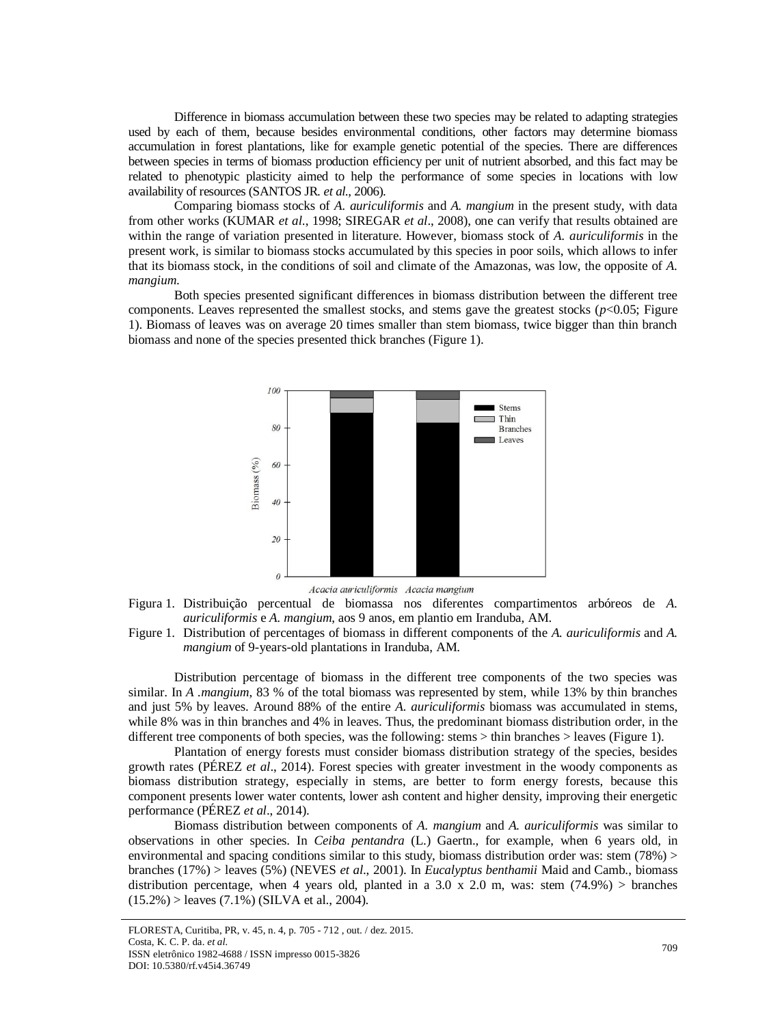Difference in biomass accumulation between these two species may be related to adapting strategies used by each of them, because besides environmental conditions, other factors may determine biomass accumulation in forest plantations, like for example genetic potential of the species. There are differences between species in terms of biomass production efficiency per unit of nutrient absorbed, and this fact may be related to phenotypic plasticity aimed to help the performance of some species in locations with low availability of resources (SANTOS JR*. et al*., 2006).

Comparing biomass stocks of *A. auriculiformis* and *A. mangium* in the present study, with data from other works (KUMAR *et al*., 1998; SIREGAR *et al*., 2008), one can verify that results obtained are within the range of variation presented in literature. However, biomass stock of *A. auriculiformis* in the present work, is similar to biomass stocks accumulated by this species in poor soils, which allows to infer that its biomass stock, in the conditions of soil and climate of the Amazonas, was low, the opposite of *A. mangium*.

Both species presented significant differences in biomass distribution between the different tree components. Leaves represented the smallest stocks, and stems gave the greatest stocks ( $p$ <0.05; Figure 1). Biomass of leaves was on average 20 times smaller than stem biomass, twice bigger than thin branch biomass and none of the species presented thick branches (Figure 1).



Acacia auriculiformis Acacia mangium

Figura 1. Distribuição percentual de biomassa nos diferentes compartimentos arbóreos de *A. auriculiformis* e *A. mangium*, aos 9 anos, em plantio em Iranduba, AM.

Figure 1. Distribution of percentages of biomass in different components of the *A. auriculiformis* and *A. mangium* of 9-years-old plantations in Iranduba, AM.

Distribution percentage of biomass in the different tree components of the two species was similar. In *A .mangium*, 83 % of the total biomass was represented by stem, while 13% by thin branches and just 5% by leaves. Around 88% of the entire *A. auriculiformis* biomass was accumulated in stems, while 8% was in thin branches and 4% in leaves. Thus, the predominant biomass distribution order, in the different tree components of both species, was the following: stems > thin branches > leaves (Figure 1).

Plantation of energy forests must consider biomass distribution strategy of the species, besides growth rates (PÉREZ *et al*., 2014). Forest species with greater investment in the woody components as biomass distribution strategy, especially in stems, are better to form energy forests, because this component presents lower water contents, lower ash content and higher density, improving their energetic performance (PÉREZ *et al*., 2014).

Biomass distribution between components of *A. mangium* and *A. auriculiformis* was similar to observations in other species. In *Ceiba pentandra* (L.) Gaertn., for example, when 6 years old, in environmental and spacing conditions similar to this study, biomass distribution order was: stem (78%) > branches (17%) > leaves (5%) (NEVES *et al*., 2001). In *Eucalyptus benthamii* Maid and Camb., biomass distribution percentage, when 4 years old, planted in a 3.0 x 2.0 m, was: stem  $(74.9%)$  > branches  $(15.2\%)$  > leaves  $(7.1\%)$  (SILVA et al., 2004).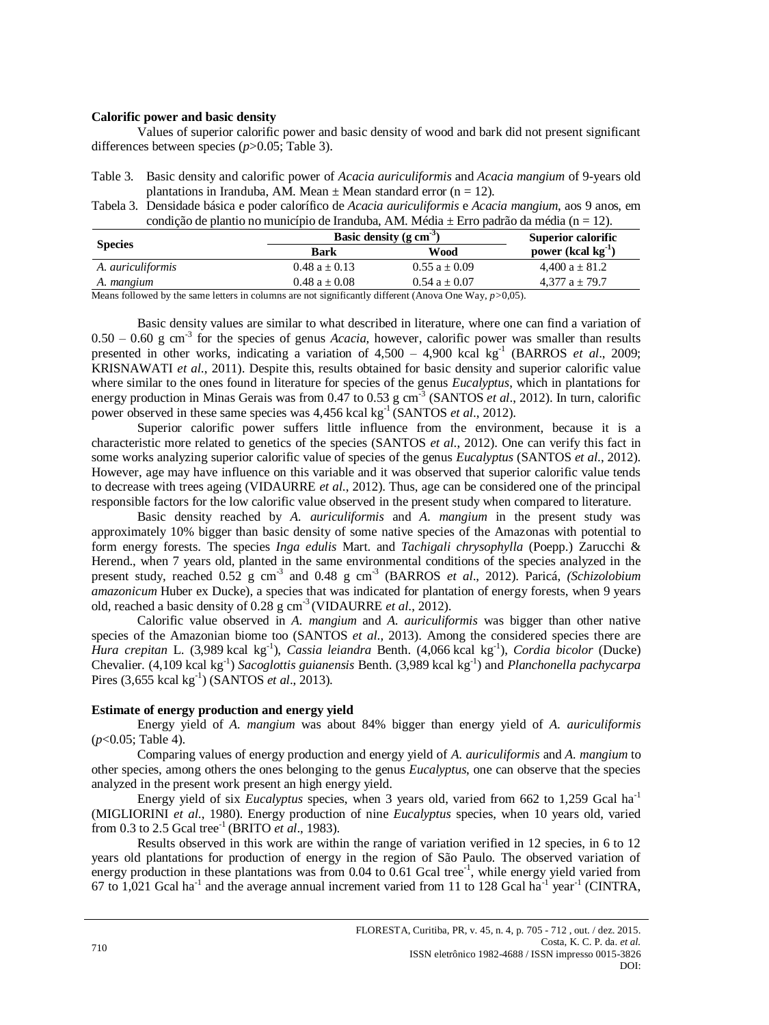#### **Calorific power and basic density**

Values of superior calorific power and basic density of wood and bark did not present significant differences between species (*p*>0.05; Table 3).

| Table 3. Basic density and calorific power of <i>Acacia auriculiformis</i> and <i>Acacia mangium</i> of 9-years old |
|---------------------------------------------------------------------------------------------------------------------|
| plantations in Iranduba, AM. Mean $\pm$ Mean standard error (n = 12).                                               |

Tabela 3. Densidade básica e poder calorífico de *Acacia auriculiformis* e *Acacia mangium*, aos 9 anos, em condição de plantio no município de Iranduba, AM. Média  $\pm$  Erro padrão da média (n = 12).

| <b>Species</b>                                                                                                                                                                                                                                                                                                    | Basic density ( $g \text{ cm}^{-3}$ ) |                 | Superior calorific      |
|-------------------------------------------------------------------------------------------------------------------------------------------------------------------------------------------------------------------------------------------------------------------------------------------------------------------|---------------------------------------|-----------------|-------------------------|
|                                                                                                                                                                                                                                                                                                                   | <b>Bark</b>                           | Wood            | power (kcal $kg^{-1}$ ) |
| A. <i>auriculiformis</i>                                                                                                                                                                                                                                                                                          | $0.48a + 0.13$                        | $0.55 a + 0.09$ | 4,400 $a \pm 81.2$      |
| A. mangium                                                                                                                                                                                                                                                                                                        | $0.48a + 0.08$                        | $0.54a + 0.07$  | $4.377 a \pm 79.7$      |
| $M_{\rm{2}}$ and $\mathcal{L}_{\rm{1}}$ and $\mathcal{L}_{\rm{2}}$ are the contract of the contract of the contract of $\mathcal{L}_{\rm{2}}$ and $\mathcal{L}_{\rm{2}}$ are $\mathcal{L}_{\rm{2}}$ and $\mathcal{L}_{\rm{2}}$ are $\mathcal{L}_{\rm{2}}$ and $\mathcal{L}_{\rm{2}}$ are $\mathcal{L}_{\rm{2}}$ a |                                       |                 |                         |

Means followed by the same letters in columns are not significantly different (Anova One Way, *p>*0,05).

Basic density values are similar to what described in literature, where one can find a variation of  $0.50 - 0.60$  g cm<sup>-3</sup> for the species of genus *Acacia*, however, calorific power was smaller than results presented in other works, indicating a variation of 4,500 – 4,900 kcal kg<sup>-1</sup> (BARROS *et al.*, 2009; KRISNAWATI *et al*., 2011). Despite this, results obtained for basic density and superior calorific value where similar to the ones found in literature for species of the genus *Eucalyptus*, which in plantations for energy production in Minas Gerais was from 0.47 to 0.53 g cm<sup>-3</sup> (SANTOS *et al.*, 2012). In turn, calorific power observed in these same species was 4,456 kcal kg<sup>-1</sup> (SANTOS *et al.*, 2012).

Superior calorific power suffers little influence from the environment, because it is a characteristic more related to genetics of the species (SANTOS *et al*., 2012). One can verify this fact in some works analyzing superior calorific value of species of the genus *Eucalyptus* (SANTOS *et al*., 2012). However, age may have influence on this variable and it was observed that superior calorific value tends to decrease with trees ageing (VIDAURRE *et al*., 2012). Thus, age can be considered one of the principal responsible factors for the low calorific value observed in the present study when compared to literature.

Basic density reached by *A. auriculiformis* and *A. mangium* in the present study was approximately 10% bigger than basic density of some native species of the Amazonas with potential to form energy forests. The species *Inga edulis* Mart. and *Tachigali chrysophylla* (Poepp.) Zarucchi & Herend., when 7 years old, planted in the same environmental conditions of the species analyzed in the present study, reached 0.52 g cm<sup>-3</sup> and 0.48 g cm<sup>-3</sup> (BARROS *et al.*, 2012). Paricá, *(Schizolobium amazonicum* Huber ex Ducke), a species that was indicated for plantation of energy forests, when 9 years old, reached a basic density of 0.28 g cm-3 (VIDAURRE *et al*., 2012).

Calorific value observed in *A. mangium* and *A*. *auriculiformis* was bigger than other native species of the Amazonian biome too (SANTOS *et al*., 2013). Among the considered species there are *Hura crepitan* L. (3,989 kcal kg-1 ), *Cassia leiandra* Benth. (4,066 kcal kg-1 ), *Cordia bicolor* (Ducke) Chevalier. (4,109 kcal kg<sup>-1</sup>) *Sacoglottis guianensis* Benth. (3,989 kcal kg<sup>-1</sup>) and *Planchonella pachycarpa* Pires (3,655 kcal kg-1 ) (SANTOS *et al*., 2013).

## **Estimate of energy production and energy yield**

Energy yield of *A. mangium* was about 84% bigger than energy yield of *A. auriculiformis*  (*p*<0.05; Table 4).

Comparing values of energy production and energy yield of *A. auriculiformis* and *A. mangium* to other species, among others the ones belonging to the genus *Eucalyptus*, one can observe that the species analyzed in the present work present an high energy yield.

Energy yield of six *Eucalyptus* species, when 3 years old, varied from 662 to 1,259 Gcal ha<sup>-1</sup> (MIGLIORINI *et al*., 1980). Energy production of nine *Eucalyptus* species, when 10 years old, varied from 0.3 to 2.5 Gcal tree-1 (BRITO *et al*., 1983).

Results observed in this work are within the range of variation verified in 12 species, in 6 to 12 years old plantations for production of energy in the region of São Paulo. The observed variation of energy production in these plantations was from  $0.04$  to  $0.61$  Gcal tree<sup>-1</sup>, while energy yield varied from  $67$  to 1,021 Gcal ha<sup>-1</sup> and the average annual increment varied from 11 to 128 Gcal ha<sup>-1</sup> year<sup>-1</sup> (CINTRA,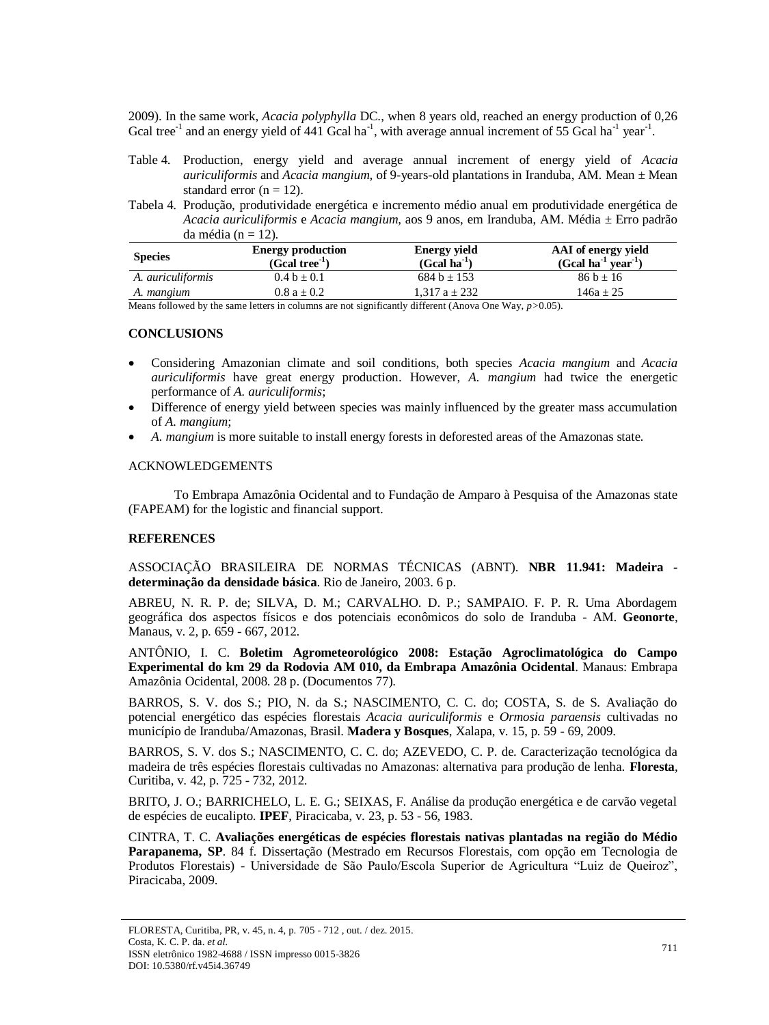2009). In the same work, *Acacia polyphylla* DC., when 8 years old, reached an energy production of 0,26 Gcal tree<sup>-1</sup> and an energy yield of 441 Gcal ha<sup>-1</sup>, with average annual increment of 55 Gcal ha<sup>-1</sup> year<sup>-1</sup>.

- Table 4. Production, energy yield and average annual increment of energy yield of *Acacia auriculiformis* and *Acacia mangium,* of 9-years-old plantations in Iranduba, AM. Mean ± Mean standard error  $(n = 12)$ .
- Tabela 4. Produção, produtividade energética e incremento médio anual em produtividade energética de *Acacia auriculiformis* e *Acacia mangium*, aos 9 anos, em Iranduba, AM. Média ± Erro padrão da média ( $n = 12$ ).

| <b>Species</b>           | <b>Energy production</b><br>$(Gcal tree^{-1})$ | <b>Energy yield</b><br>$(Gcal ha^{-1})$ | AAI of energy yield<br>$(Gcal ha^{-1} year^{-1})$ |
|--------------------------|------------------------------------------------|-----------------------------------------|---------------------------------------------------|
| A. <i>auriculiformis</i> | $0.4 b \pm 0.1$                                | $684 b + 153$                           | $86 b \pm 16$                                     |
| A. mangium               | $0.8 a \pm 0.2$                                | 1.317 $a \pm 232$                       | $146a + 25$                                       |

Means followed by the same letters in columns are not significantly different (Anova One Way, *p>*0.05).

## **CONCLUSIONS**

- Considering Amazonian climate and soil conditions, both species *Acacia mangium* and *Acacia auriculiformis* have great energy production. However, *A. mangium* had twice the energetic performance of *A. auriculiformis*;
- Difference of energy yield between species was mainly influenced by the greater mass accumulation of *A. mangium*;
- *A. mangium* is more suitable to install energy forests in deforested areas of the Amazonas state.

# ACKNOWLEDGEMENTS

To Embrapa Amazônia Ocidental and to Fundação de Amparo à Pesquisa of the Amazonas state (FAPEAM) for the logistic and financial support.

# **REFERENCES**

ASSOCIAÇÃO BRASILEIRA DE NORMAS TÉCNICAS (ABNT). **NBR 11.941: Madeira determinação da densidade básica**. Rio de Janeiro, 2003. 6 p.

ABREU, N. R. P. de; SILVA, D. M.; CARVALHO. D. P.; SAMPAIO. F. P. R. Uma Abordagem geográfica dos aspectos físicos e dos potenciais econômicos do solo de Iranduba - AM. **Geonorte**, Manaus, v. 2, p. 659 - 667, 2012.

ANTÔNIO, I. C. **Boletim Agrometeorológico 2008: Estação Agroclimatológica do Campo Experimental do km 29 da Rodovia AM 010, da Embrapa Amazônia Ocidental**. Manaus: Embrapa Amazônia Ocidental, 2008. 28 p. (Documentos 77).

BARROS, S. V. dos S.; PIO, N. da S.; NASCIMENTO, C. C. do; COSTA, S. de S. Avaliação do potencial energético das espécies florestais *Acacia auriculiformis* e *Ormosia paraensis* cultivadas no município de Iranduba/Amazonas, Brasil. **Madera y Bosques**, Xalapa, v. 15, p. 59 - 69, 2009.

BARROS, S. V. dos S.; NASCIMENTO, C. C. do; AZEVEDO, C. P. de. Caracterização tecnológica da madeira de três espécies florestais cultivadas no Amazonas: alternativa para produção de lenha. **Floresta**, Curitiba, v. 42, p. 725 - 732, 2012.

BRITO, J. O.; BARRICHELO, L. E. G.; SEIXAS, F. Análise da produção energética e de carvão vegetal de espécies de eucalipto. **IPEF**, Piracicaba, v. 23, p. 53 - 56, 1983.

CINTRA, T. C. **Avaliações energéticas de espécies florestais nativas plantadas na região do Médio Parapanema, SP**. 84 f. Dissertação (Mestrado em Recursos Florestais, com opção em Tecnologia de Produtos Florestais) - Universidade de São Paulo/Escola Superior de Agricultura "Luiz de Queiroz", Piracicaba, 2009.